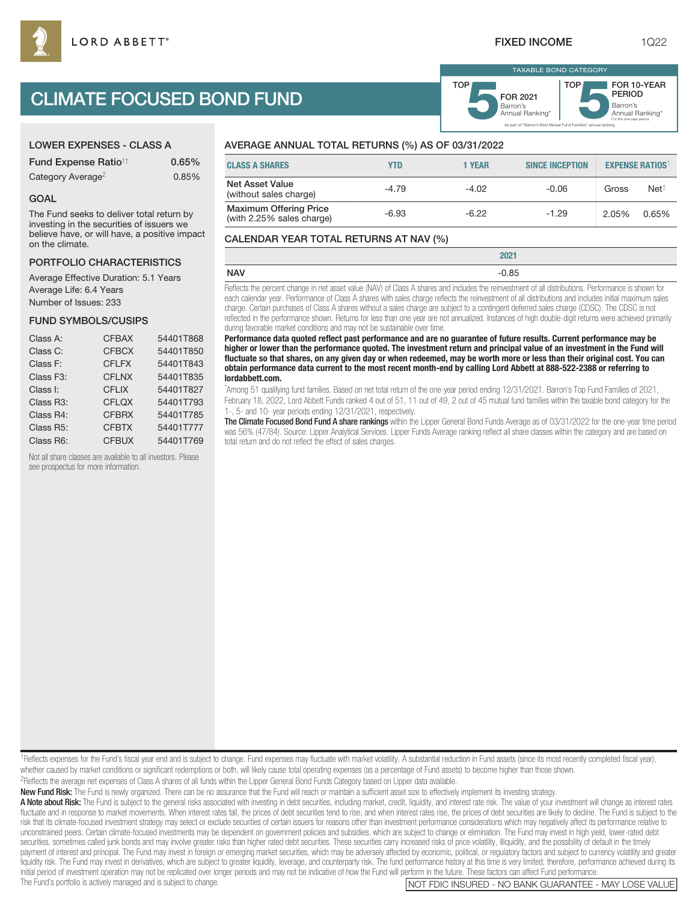# CLIMATE FOCUSED BOND FUND

## LOWER EXPENSES - CLASS A

| <b>Fund Expense Ratio<sup>1†</sup></b> | 0.65% |
|----------------------------------------|-------|
| Category Average <sup>2</sup>          | 0.85% |

#### GOAL

The Fund seeks to deliver total return by investing in the securities of issuers we believe have, or will have, a positive impact on the climate.

#### PORTFOLIO CHARACTERISTICS

Average Effective Duration: 5.1 Years Average Life: 6.4 Years Number of Issues: 233

#### FUND SYMBOLS/CUSIPS

| Class A:               | <b>CFBAX</b> | 54401T868 |
|------------------------|--------------|-----------|
| Class C:               | <b>CFBCX</b> | 54401T850 |
| Class F:               | <b>CFLFX</b> | 54401T843 |
| Class F <sub>3</sub> : | <b>CFLNX</b> | 54401T835 |
| Class I:               | <b>CFLIX</b> | 54401T827 |
| Class R3:              | <b>CFLQX</b> | 54401T793 |
| Class R4:              | <b>CFBRX</b> | 54401T785 |
| Class R5:              | <b>CFBTX</b> | 54401T777 |
| Class R6:              | <b>CFBUX</b> | 54401T769 |

Not all share classes are available to all investors. Please see prospectus for more information.

# AVERAGE ANNUAL TOTAL RETURNS (%) AS OF 03/31/2022

| <b>CLASS A SHARES</b>                                      | YTD     | 1 YEAR  | <b>SINCE INCEPTION</b> |       | <b>EXPENSE RATIOS</b> |
|------------------------------------------------------------|---------|---------|------------------------|-------|-----------------------|
| Net Asset Value<br>(without sales charge)                  | $-4.79$ | $-4.02$ | $-0.06$                | Gross | $Net^{\dagger}$       |
| <b>Maximum Offering Price</b><br>(with 2.25% sales charge) | $-6.93$ | $-6.22$ | $-1.29$                | 2.05% | 0.65%                 |

TOP

#### CALENDAR YEAR TOTAL RETURNS AT NAV (%)

|            | י∩ח                                                                                                                                                                                                                           |
|------------|-------------------------------------------------------------------------------------------------------------------------------------------------------------------------------------------------------------------------------|
| <b>NAV</b> | $-0.85$                                                                                                                                                                                                                       |
|            | Ballette the concentration of the concentration (ATA) And Concentration of the concentration of all distributions. Ballettes on the formula of the formula of the formula of the formula of the formula of the formula of the |

Reflects the percent change in net asset value (NAV) of Class A shares and includes the reinvestment of all distributions. Performance is shown for each calendar year. Performance of Class A shares with sales charge reflects the reinvestment of all distributions and includes initial maximum sales charge. Certain purchases of Class A shares without a sales charge are subject to a contingent deferred sales charge (CDSC). The CDSC is not reflected in the performance shown. Returns for less than one year are not annualized. Instances of high double-digit returns were achieved primarily during favorable market conditions and may not be sustainable over time.

**Performance data quoted reflect past performance and are no guarantee of future results. Current performance may be higher or lower than the performance quoted. The investment return and principal value of an investment in the Fund will fluctuate so that shares, on any given day or when redeemed, may be worth more or less than their original cost. You can obtain performance data current to the most recent month-end by calling Lord Abbett at 888-522-2388 or referring to lordabbett.com.**

\* Among 51 qualifying fund families. Based on net total return of the one-year period ending 12/31/2021. Barron's Top Fund Families of 2021, February 18, 2022, Lord Abbett Funds ranked 4 out of 51, 11 out of 49, 2 out of 45 mutual fund families within the taxable bond category for the 1-, 5- and 10- year periods ending 12/31/2021, respectively.

The Climate Focused Bond Fund A share rankings within the Lipper General Bond Funds Average as of 03/31/2022 for the one-year time period was 56% (47/84). Source: Lipper Analytical Services. Lipper Funds Average ranking reflect all share classes within the category and are based on total return and do not reflect the effect of sales charges.

<sup>1</sup>Reflects expenses for the Fund's fiscal year end and is subject to change. Fund expenses may fluctuate with market volatility. A substantial reduction in Fund assets (since its most recently completed fiscal year), whether caused by market conditions or significant redemptions or both, will likely cause total operating expenses (as a percentage of Fund assets) to become higher than those shown.

2Reflects the average net expenses of Class A shares of all funds within the Lipper General Bond Funds Category based on Lipper data available.

New Fund Risk: The Fund is newly organized. There can be no assurance that the Fund will reach or maintain a sufficient asset size to effectively implement its investing strategy.

A Note about Risk: The Fund is subject to the general risks associated with investing in debt securities, including market, credit, liquidity, and interest rate risk. The value of your investment will change as interest ra fluctuate and in response to market movements. When interest rates fall, the prices of debt securities tend to rise, and when interest rates rise, the prices of debt securities are likely to decline. The Fund is subject to risk that its climate-focused investment strategy may select or exclude securities of certain issuers for reasons other than investment performance considerations which may negatively affect its performance relative to unconstrained peers. Certain climate-focused investments may be dependent on government policies and subsidies, which are subject to change or elimination. The Fund may invest in high yield, lower-rated debt securities, sometimes called junk bonds and may involve greater risks than higher rated debt securities. These securities carry increased risks of price volatility, illiquidity, and the possibility of default in the timely payment of interest and principal. The Fund may invest in foreign or emerging market securities, which may be adversely affected by economic, political, or regulatory factors and subject to currency volatility and greater liquidity risk. The Fund may invest in derivatives, which are subject to greater liquidity, leverage, and counterparty risk. The fund performance history at this time is very limited; therefore, performance achieved during initial period of investment operation may not be replicated over longer periods and may not be indicative of how the Fund will perform in the future. These factors can affect Fund performance.<br>The Fund's portfolio is acti

## FIXED INCOME 1Q22

As part of "Barron's Best Mutual Fund Families" annual ranking.

Barron's **5**Annual Ranking\* FOR 2021

TAXABLE BOND CATEGORY

TOP

Barron's<br>Annual Ranking\*

For the one-year period.

FOR 10-YEAR PERIOD